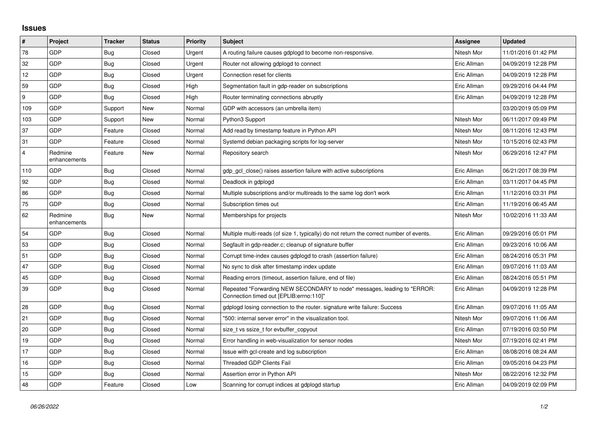## **Issues**

| $\vert$ #      | Project                 | <b>Tracker</b> | <b>Status</b> | <b>Priority</b> | <b>Subject</b>                                                                                                      | <b>Assignee</b> | <b>Updated</b>      |
|----------------|-------------------------|----------------|---------------|-----------------|---------------------------------------------------------------------------------------------------------------------|-----------------|---------------------|
| 78             | GDP                     | Bug            | Closed        | Urgent          | A routing failure causes gdplogd to become non-responsive.                                                          | Nitesh Mor      | 11/01/2016 01:42 PM |
| 32             | GDP                     | Bug            | Closed        | Urgent          | Router not allowing gdplogd to connect                                                                              | Eric Allman     | 04/09/2019 12:28 PM |
| 12             | <b>GDP</b>              | <b>Bug</b>     | Closed        | Urgent          | Connection reset for clients                                                                                        | Eric Allman     | 04/09/2019 12:28 PM |
| 59             | GDP                     | Bug            | Closed        | High            | Segmentation fault in gdp-reader on subscriptions                                                                   | Eric Allman     | 09/29/2016 04:44 PM |
| 9              | GDP                     | Bug            | Closed        | High            | Router terminating connections abruptly                                                                             | Eric Allman     | 04/09/2019 12:28 PM |
| 109            | <b>GDP</b>              | Support        | New           | Normal          | GDP with accessors (an umbrella item)                                                                               |                 | 03/20/2019 05:09 PM |
| 103            | GDP                     | Support        | New           | Normal          | Python3 Support                                                                                                     | Nitesh Mor      | 06/11/2017 09:49 PM |
| 37             | GDP                     | Feature        | Closed        | Normal          | Add read by timestamp feature in Python API                                                                         | Nitesh Mor      | 08/11/2016 12:43 PM |
| 31             | <b>GDP</b>              | Feature        | Closed        | Normal          | Systemd debian packaging scripts for log-server                                                                     | Nitesh Mor      | 10/15/2016 02:43 PM |
| $\overline{4}$ | Redmine<br>enhancements | Feature        | <b>New</b>    | Normal          | Repository search                                                                                                   | Nitesh Mor      | 06/29/2016 12:47 PM |
| 110            | GDP                     | Bug            | Closed        | Normal          | gdp gcl close() raises assertion failure with active subscriptions                                                  | Eric Allman     | 06/21/2017 08:39 PM |
| 92             | GDP                     | Bug            | Closed        | Normal          | Deadlock in gdplogd                                                                                                 | Eric Allman     | 03/11/2017 04:45 PM |
| 86             | <b>GDP</b>              | Bug            | Closed        | Normal          | Multiple subscriptions and/or multireads to the same log don't work                                                 | Eric Allman     | 11/12/2016 03:31 PM |
| 75             | GDP                     | Bug            | Closed        | Normal          | Subscription times out                                                                                              | Eric Allman     | 11/19/2016 06:45 AM |
| 62             | Redmine<br>enhancements | Bug            | New           | Normal          | Memberships for projects                                                                                            | Nitesh Mor      | 10/02/2016 11:33 AM |
| 54             | GDP                     | Bug            | Closed        | Normal          | Multiple multi-reads (of size 1, typically) do not return the correct number of events.                             | Eric Allman     | 09/29/2016 05:01 PM |
| 53             | GDP                     | Bug            | Closed        | Normal          | Segfault in gdp-reader.c; cleanup of signature buffer                                                               | Eric Allman     | 09/23/2016 10:06 AM |
| 51             | GDP                     | Bug            | Closed        | Normal          | Corrupt time-index causes gdplogd to crash (assertion failure)                                                      | Eric Allman     | 08/24/2016 05:31 PM |
| 47             | GDP                     | Bug            | Closed        | Normal          | No sync to disk after timestamp index update                                                                        | Eric Allman     | 09/07/2016 11:03 AM |
| 45             | GDP                     | Bug            | Closed        | Normal          | Reading errors (timeout, assertion failure, end of file)                                                            | Eric Allman     | 08/24/2016 05:51 PM |
| 39             | GDP                     | Bug            | Closed        | Normal          | Repeated "Forwarding NEW SECONDARY to node" messages, leading to "ERROR:<br>Connection timed out [EPLIB:errno:110]" | Eric Allman     | 04/09/2019 12:28 PM |
| 28             | <b>GDP</b>              | Bug            | Closed        | Normal          | gdplogd losing connection to the router. signature write failure: Success                                           | Eric Allman     | 09/07/2016 11:05 AM |
| 21             | GDP                     | <b>Bug</b>     | Closed        | Normal          | "500: internal server error" in the visualization tool.                                                             | Nitesh Mor      | 09/07/2016 11:06 AM |
| 20             | GDP                     | Bug            | Closed        | Normal          | size t vs ssize t for evbuffer copyout                                                                              | Eric Allman     | 07/19/2016 03:50 PM |
| $19$           | <b>GDP</b>              | <b>Bug</b>     | Closed        | Normal          | Error handling in web-visualization for sensor nodes                                                                | Nitesh Mor      | 07/19/2016 02:41 PM |
| 17             | GDP                     | <b>Bug</b>     | Closed        | Normal          | Issue with gcl-create and log subscription                                                                          | Eric Allman     | 08/08/2016 08:24 AM |
| 16             | GDP                     | Bug            | Closed        | Normal          | <b>Threaded GDP Clients Fail</b>                                                                                    | Eric Allman     | 09/05/2016 04:23 PM |
| 15             | GDP                     | Bug            | Closed        | Normal          | Assertion error in Python API                                                                                       | Nitesh Mor      | 08/22/2016 12:32 PM |
| 48             | <b>GDP</b>              | Feature        | Closed        | Low             | Scanning for corrupt indices at gdplogd startup                                                                     | Eric Allman     | 04/09/2019 02:09 PM |